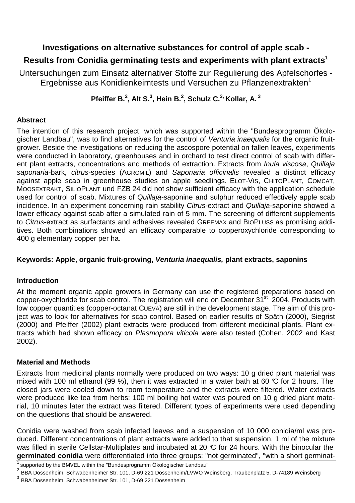### **Investigations on alternative substances for control of apple scab -**

# **Results from Conidia germinating tests and experiments with plant extracts<sup>1</sup>**

Untersuchungen zum Einsatz alternativer Stoffe zur Regulierung des Apfelschorfes - Ergebnisse aus Konidienkeimtests und Versuchen zu Pflanzenextrakten<sup>1</sup>

## **Pfeiffer B.<sup>2</sup> , Alt S.<sup>3</sup> , Hein B.<sup>2</sup> , Schulz C.3, Kollar, A.<sup>3</sup>**

### **Abstract**

The intention of this research project, which was supported within the "Bundesprogramm Ökologischer Landbau", was to find alternatives for the control of Venturia inaequalis for the organic fruitgrower. Beside the investigations on reducing the ascospore potential on fallen leaves, experiments were conducted in laboratory, greenhouses and in orchard to test direct control of scab with different plant extracts, concentrations and methods of extraction. Extracts from *Inula viscosa*, Quillaja saponaria-bark, citrus-species (AGROMIL) and Saponaria officinalis revealed a distinct efficacy against apple scab in greenhouse studies on apple seedlings. ELOT-VIS, CHITOPLANT, COMCAT, MOOSEXTRAKT, SILIOPLANT und FZB 24 did not show sufficient efficacy with the application schedule used for control of scab. Mixtures of Quillaja-saponine and sulphur reduced effectively apple scab incidence. In an experiment concerning rain stability Citrus-extract and Quillaja-saponine showed a lower efficacy against scab after a simulated rain of 5 mm. The screening of different supplements to Citrus-extract as surfactants and adhesives revealed GREEMAX and BIOPLUSS as promising additives. Both combinations showed an efficacy comparable to copperoxychloride corresponding to 400 g elementary copper per ha.

#### **Keywords: Apple, organic fruit-growing, Venturia inaequalis, plant extracts, saponins**

#### **Introduction**

At the moment organic apple growers in Germany can use the registered preparations based on copper-oxychloride for scab control. The registration will end on December 31<sup>st</sup> 2004. Products with low copper quantities (copper-octanat CUEVA) are still in the development stage. The aim of this project was to look for alternatives for scab control. Based on earlier results of Späth (2000), Siegrist (2000) and Pfeiffer (2002) plant extracts were produced from different medicinal plants. Plant extracts which had shown efficacy on Plasmopora viticola were also tested (Cohen, 2002 and Kast 2002).

#### **Material and Methods**

Extracts from medicinal plants normally were produced on two ways: 10 g dried plant material was mixed with 100 ml ethanol (99 %), then it was extracted in a water bath at 60  $\degree$  for 2 hours. The closed jars were cooled down to room temperature and the extracts were filtered. Water extracts were produced like tea from herbs: 100 ml boiling hot water was poured on 10 g dried plant material, 10 minutes later the extract was filtered. Different types of experiments were used depending on the questions that should be answered.

Conidia were washed from scab infected leaves and a suspension of 10 000 conidia/ml was produced. Different concentrations of plant extracts were added to that suspension. 1 ml of the mixture was filled in sterile Cellstar-Multiplates and incubated at 20 °C for 24 hours. With the binocular the **germinated conidia** were differentiated into three groups: "not germinated", "with a short germinat-

supported by the BMVEL within the "Bundesprogramm Ökologischer Landbau"

<sup>&</sup>lt;sup>2</sup> BBA Dossenheim, Schwabenheimer Str. 101, D-69 221 Dossenheim/LVWO Weinsberg, Traubenplatz 5, D-74189 Weinsberg

<sup>&</sup>lt;sup>3</sup> BBA Dossenheim, Schwabenheimer Str. 101, D-69 221 Dossenheim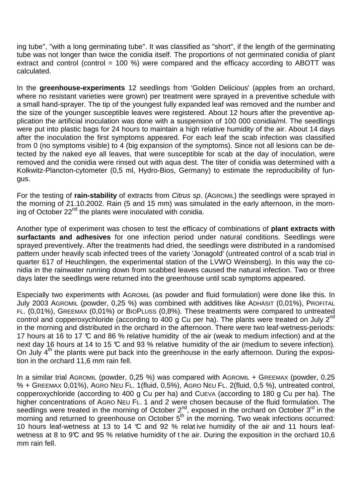ing tube", "with a long germinating tube". It was classified as "short", if the length of the germinating tube was not longer than twice the conidia itself. The proportions of not germinated conidia of plant extract and control (control = 100 %) were compared and the efficacy according to ABOTT was calculated.

In the **greenhouse-experiments** 12 seedlings from 'Golden Delicious' (apples from an orchard, where no resistant varieties were grown) per treatment were sprayed in a preventive schedule with a small hand-sprayer. The tip of the youngest fully expanded leaf was removed and the number and the size of the younger susceptible leaves were registered. About 12 hours after the preventive application the artificial inoculation was done with a suspension of 100 000 conidia/ml. The seedlings were put into plastic bags for 24 hours to maintain a high relative humidity of the air. About 14 days after the inoculation the first symptoms appeared. For each leaf the scab infection was classified from 0 (no symptoms visible) to 4 (big expansion of the symptoms). Since not all lesions can be detected by the naked eye all leaves, that were susceptible for scab at the day of inoculation, were removed and the conidia were rinsed out with aqua dest. The titer of conidia was determined with a Kolkwitz-Plancton-cytometer (0,5 ml, Hydro-Bios, Germany) to estimate the reproducibility of fungus.

For the testing of **rain-stability** of extracts from Citrus sp. (AGROMIL) the seedlings were sprayed in the morning of 21.10.2002. Rain (5 and 15 mm) was simulated in the early afternoon, in the morning of October  $22<sup>nd</sup>$  the plants were inoculated with conidia.

Another type of experiment was chosen to test the efficacy of combinations of **plant extracts with surfactants and adhesives** for one infection period under natural conditions. Seedlings were sprayed preventively. After the treatments had dried, the seedlings were distributed in a randomised pattern under heavily scab infected trees of the variety 'Jonagold' (untreated control of a scab trial in quarter 617 of Heuchlingen, the experimental station of the LVWO Weinsberg). In this way the conidia in the rainwater running down from scabbed leaves caused the natural infection. Two or three days later the seedlings were returned into the greenhouse until scab symptoms appeared.

Especially two experiments with AGROMIL (as powder and fluid formulation) were done like this. In July 2003 AGROMIL (powder, 0,25 %) was combined with additives like ADHÄSIT (0,01%), PROFITAL FL. (0,01%), GREEMAX (0,01%) or BIOPLUSS (0,8%). These treatments were compared to untreated control and copperoxychloride (according to 400 g Cu per ha). The plants were treated on July  $2^{nd}$ in the morning and distributed in the orchard in the afternoon. There were two leaf-wetness-periods: 17 hours at 16 to 17 °C and 86 % relative humidity of the air (weak to medium infection) and at the next day 16 hours at 14 to 15 °C and 93 % relative humidity of the air (medium to severe infection). On July  $4<sup>th</sup>$  the plants were put back into the greenhouse in the early afternoon. During the exposition in the orchard 11,6 mm rain fell.

In a similar trial AGROMIL (powder, 0,25 %) was compared with AGROMIL + GREEMAX (powder, 0,25 % + GREEMAX 0,01%), AGRO NEU FL. 1(fluid, 0,5%), AGRO NEU FL. 2(fluid, 0,5 %), untreated control, copperoxychloride (according to 400 g Cu per ha) and CUEVA (according to 180 g Cu per ha). The higher concentrations of AGRO NEU FL. 1 and 2 were chosen because of the fluid formulation. The seedlings were treated in the morning of October  $2^{nd}$ , exposed in the orchard on October  $3^{rd}$  in the morning and returned to greenhouse on October  $5<sup>th</sup>$  in the morning. Two weak infections occurred: 10 hours leaf-wetness at 13 to 14  $\mathbb C$  and 92 % relative humidity of the air and 11 hours leafwetness at 8 to 9°C and 95 % relative humidity of the air. During the exposition in the orchard 10,6 mm rain fell.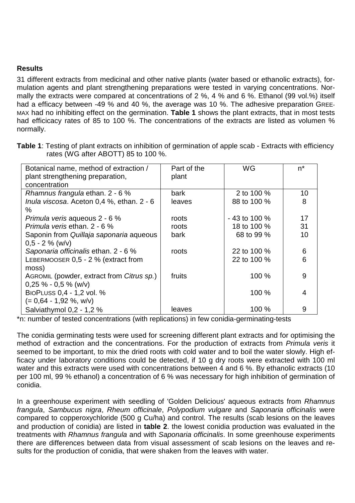#### **Results**

31 different extracts from medicinal and other native plants (water based or ethanolic extracts), formulation agents and plant strengthening preparations were tested in varying concentrations. Normally the extracts were compared at concentrations of 2 %, 4 % and 6 %. Ethanol (99 vol.%) itself had a efficacy between -49 % and 40 %, the average was 10 %. The adhesive preparation GREE-MAX had no inhibiting effect on the germination. **Table 1** shows the plant extracts, that in most tests had efficicacy rates of 85 to 100 %. The concentrations of the extracts are listed as volumen % normally.

| Table 1: Testing of plant extracts on inhibition of germination of apple scab - Extracts with efficiency |  |
|----------------------------------------------------------------------------------------------------------|--|
| rates (WG after ABOTT) 85 to 100 %.                                                                      |  |

| Botanical name, method of extraction /    | Part of the | <b>WG</b>      | $n^*$ |
|-------------------------------------------|-------------|----------------|-------|
| plant strengthening preparation,          | plant       |                |       |
| concentration                             |             |                |       |
| Rhamnus frangula ethan. 2 - 6 %           | bark        | 2 to 100 %     | 10    |
| Inula viscosa. Aceton 0,4 %, ethan. 2 - 6 | leaves      | 88 to 100 %    | 8     |
| $\%$                                      |             |                |       |
| Primula veris aqueous 2 - 6 %             | roots       | $-43$ to 100 % | 17    |
| Primula veris ethan, 2 - 6 %              | roots       | 18 to 100 %    | 31    |
| Saponin from Quillaja saponaria aqueous   | bark        | 68 to 99 %     | 10    |
| $0.5 - 2 \%$ (w/v)                        |             |                |       |
| Saponaria officinalis ethan. 2 - 6 %      | roots       | 22 to 100 %    | 6     |
| LEBERMOOSER 0,5 - 2 % (extract from       |             | 22 to 100 %    | 6     |
| moss)                                     |             |                |       |
| AGROMIL (powder, extract from Citrus sp.) | fruits      | 100%           | 9     |
| $0,25 \% - 0,5 \%$ (w/v)                  |             |                |       |
| BIOPLUSS 0,4 - 1,2 vol. %                 |             | 100 %          | 4     |
| $(= 0.64 - 1.92 %$ , w/v)                 |             |                |       |
| Salviathymol 0,2 - 1,2 %                  | leaves      | 100 %          | 9     |

\*n: number of tested concentrations (with replications) in few conidia-germinating-tests

The conidia germinating tests were used for screening different plant extracts and for optimising the method of extraction and the concentrations. For the production of extracts from Primula veris it seemed to be important, to mix the dried roots with cold water and to boil the water slowly. High efficacy under laboratory conditions could be detected, if 10 g dry roots were extracted with 100 ml water and this extracts were used with concentrations between 4 and 6 %. By ethanolic extracts (10 per 100 ml, 99 % ethanol) a concentration of 6 % was necessary for high inhibition of germination of conidia.

In a greenhouse experiment with seedling of 'Golden Delicious' aqueous extracts from Rhamnus frangula, Sambucus nigra, Rheum officinale, Polypodium vulgare and Saponaria officinalis were compared to copperoxychloride (500 g Cu/ha) and control. The results (scab lesions on the leaves and production of conidia) are listed in **table 2**. the lowest conidia production was evaluated in the treatments with Rhamnus frangula and with Saponaria officinalis. In some greenhouse experiments there are differences between data from visual assessment of scab lesions on the leaves and results for the production of conidia, that were shaken from the leaves with water.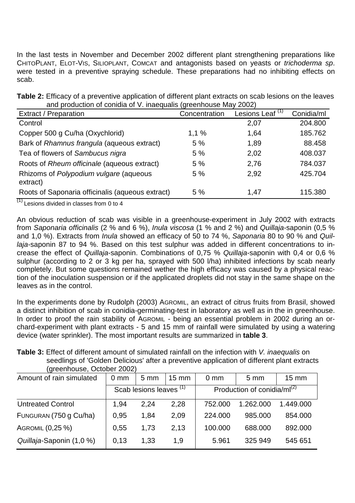In the last tests in November and December 2002 different plant strengthening preparations like CHITOPLANT, ELOT-VIS, SILIOPLANT, COMCAT and antagonists based on yeasts or trichoderma sp. were tested in a preventive spraying schedule. These preparations had no inhibiting effects on scab.

| and production of contain of v. maequalis (greenhouse may 2002)              |               |                             |            |  |
|------------------------------------------------------------------------------|---------------|-----------------------------|------------|--|
| <b>Extract / Preparation</b>                                                 | Concentration | Lesions Leaf <sup>(1)</sup> | Conidia/ml |  |
| Control                                                                      |               | 2,07                        | 204.800    |  |
| Copper 500 g Cu/ha (Oxychlorid)                                              | 1,1%          | 1,64                        | 185.762    |  |
| Bark of Rhamnus frangula (aqueous extract)                                   | 5 %           | 1,89                        | 88.458     |  |
| Tea of flowers of Sambucus nigra                                             | 5 %           | 2,02                        | 408.037    |  |
| Roots of Rheum officinale (aqueous extract)                                  | 5 %           | 2,76                        | 784.037    |  |
| Rhizoms of Polypodium vulgare (aqueous<br>extract)                           | 5 %           | 2,92                        | 425.704    |  |
| Roots of Saponaria officinalis (aqueous extract)<br>$\overline{\phantom{a}}$ | 5 %           | 1,47                        | 115.380    |  |

**Table 2:** Efficacy of a preventive application of different plant extracts on scab lesions on the leaves and production of conidia of V. inaequalis (greenhouse May 2002)

 $(1)$  Lesions divided in classes from 0 to 4

An obvious reduction of scab was visible in a greenhouse-experiment in July 2002 with extracts from Saponaria officinalis (2 % and 6 %), Inula viscosa (1 % and 2 %) and Quillaja-saponin (0,5 % and 1,0 %). Extracts from Inula showed an efficacy of 50 to 74 %, Saponaria 80 to 90 % and Quillaja-saponin 87 to 94 %. Based on this test sulphur was added in different concentrations to increase the effect of Quillaja-saponin. Combinations of 0,75 % Quillaja-saponin with 0,4 or 0,6 % sulphur (according to 2 or 3 kg per ha, sprayed with 500 l/ha) inhibited infections by scab nearly completely. But some questions remained wether the high efficacy was caused by a physical reaction of the inoculation suspension or if the applicated droplets did not stay in the same shape on the leaves as in the control.

In the experiments done by Rudolph (2003) AGROMIL, an extract of citrus fruits from Brasil, showed a distinct inhibition of scab in conidia-germinating-test in laboratory as well as in the in greenhouse. In order to proof the rain stability of AGROMIL - being an essential problem in 2002 during an orchard-experiment with plant extracts - 5 and 15 mm of rainfall were simulated by using a watering device (water sprinkler). The most important results are summarized in **table 3**.

| Table 3: Effect of different amount of simulated rainfall on the infection with V. inaequalis on |
|--------------------------------------------------------------------------------------------------|
| seedlings of 'Golden Delicious' after a preventive application of different plant extracts       |
| (greenhouse, October 2002)                                                                       |

| Amount of rain simulated | $0 \text{ mm}$                     | $5 \, \text{mm}$ | $15 \text{ mm}$ | $0 \text{ mm}$                          | $5 \text{ mm}$ | $15 \text{ mm}$ |
|--------------------------|------------------------------------|------------------|-----------------|-----------------------------------------|----------------|-----------------|
|                          | Scab lesions leaves <sup>(1)</sup> |                  |                 | Production of conidia/ml <sup>(2)</sup> |                |                 |
| <b>Untreated Control</b> | 1,94                               | 2.24             | 2,28            | 752.000                                 | 1.262.000      | 1.449.000       |
| FUNGURAN (750 g Cu/ha)   | 0,95                               | 1.84             | 2.09            | 224,000                                 | 985.000        | 854,000         |
| AGROMIL (0,25 %)         | 0,55                               | 1,73             | 2.13            | 100.000                                 | 688,000        | 892,000         |
| Quillaja-Saponin (1,0 %) | 0,13                               | 1,33             | 1,9             | 5.961                                   | 325 949        | 545 651         |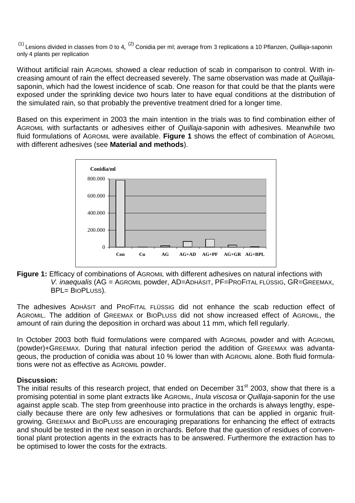$(1)$  Lesions divided in classes from 0 to 4,  $(2)$  Conidia per ml; average from 3 replications a 10 Pflanzen, Quillaja-saponin only 4 plants per replication

Without artificial rain AGROMIL showed a clear reduction of scab in comparison to control. With increasing amount of rain the effect decreased severely. The same observation was made at Quillajasaponin, which had the lowest incidence of scab. One reason for that could be that the plants were exposed under the sprinkling device two hours later to have equal conditions at the distribution of the simulated rain, so that probably the preventive treatment dried for a longer time.

Based on this experiment in 2003 the main intention in the trials was to find combination either of AGROMIL with surfactants or adhesives either of Quillaja-saponin with adhesives. Meanwhile two fluid formulations of AGROMIL were available. **Figure 1** shows the effect of combination of AGROMIL with different adhesives (see **Material and methods**).



**Figure 1:** Efficacy of combinations of AGROMIL with different adhesives on natural infections with V. inaequalis (AG = AGROMIL powder, AD=ADHÄSIT, PF=PROFITAL FLÜSSIG, GR=GREEMAX, BPL= BIOPLUSS).

The adhesives ADHÄSIT and PROFITAL FLÜSSIG did not enhance the scab reduction effect of AGROMIL. The addition of GREEMAX or BIOPLUSS did not show increased effect of AGROMIL, the amount of rain during the deposition in orchard was about 11 mm, which fell regularly.

In October 2003 both fluid formulations were compared with AGROMIL powder and with AGROMIL (powder)+GREEMAX. During that natural infection period the addition of GREEMAX was advantageous, the production of conidia was about 10 % lower than with AGROMIL alone. Both fluid formulations were not as effective as AGROMIL powder.

#### **Discussion:**

The initial results of this research project, that ended on December 31<sup>st</sup> 2003, show that there is a promising potential in some plant extracts like AGROMIL, Inula viscosa or Quillaja-saponin for the use against apple scab. The step from greenhouse into practice in the orchards is always lengthy, especially because there are only few adhesives or formulations that can be applied in organic fruitgrowing. GREEMAX and BIOPLUSS are encouraging preparations for enhancing the effect of extracts and should be tested in the next season in orchards. Before that the question of residues of conventional plant protection agents in the extracts has to be answered. Furthermore the extraction has to be optimised to lower the costs for the extracts.